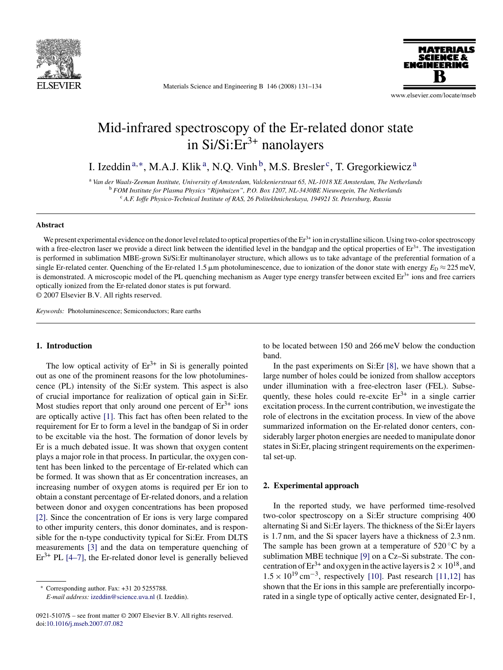

Materials Science and Engineering B 146 (2008) 131–134

www.elsevier.com/locate/mseb

# Mid-infrared spectroscopy of the Er-related donor state in  $Si/Si:Er<sup>3+</sup>$  nanolayers

I. Izeddin <sup>a</sup>,∗, M.A.J. Klik a, N.Q. Vinh b, M.S. Bresler c, T. Gregorkiewicz <sup>a</sup>

<sup>a</sup> *Van der Waals-Zeeman Institute, University of Amsterdam, Valckenierstraat 65, NL-1018 XE Amsterdam, The Netherlands* <sup>b</sup> *FOM Institute for Plasma Physics "Rijnhuizen", P.O. Box 1207, NL-3430BE Nieuwegein, The Netherlands* <sup>c</sup> *A.F. Ioffe Physico-Technical Institute of RAS, 26 Politekhnicheskaya, 194921 St. Petersburg, Russia*

#### **Abstract**

We present experimental evidence on the donor level related to optical properties of the  $Er<sup>3+</sup>$  ion in crystalline silicon. Using two-color spectroscopy with a free-electron laser we provide a direct link between the identified level in the bandgap and the optical properties of  $Er<sup>3+</sup>$ . The investigation is performed in sublimation MBE-grown Si/Si:Er multinanolayer structure, which allows us to take advantage of the preferential formation of a single Er-related center. Quenching of the Er-related 1.5  $\mu$ m photoluminescence, due to ionization of the donor state with energy  $E_D \approx 225$  meV, is demonstrated. A microscopic model of the PL quenching mechanism as Auger type energy transfer between excited  $Er<sup>3+</sup>$  ions and free carriers optically ionized from the Er-related donor states is put forward. © 2007 Elsevier B.V. All rights reserved.

*Keywords:* Photoluminescence; Semiconductors; Rare earths

#### **1. Introduction**

The low optical activity of  $Er^{3+}$  in Si is generally pointed out as one of the prominent reasons for the low photoluminescence (PL) intensity of the Si:Er system. This aspect is also of crucial importance for realization of optical gain in Si:Er. Most studies report that only around one percent of  $Er<sup>3+</sup>$  ions are optically active [\[1\].](#page-3-0) This fact has often been related to the requirement for Er to form a level in the bandgap of Si in order to be excitable via the host. The formation of donor levels by Er is a much debated issue. It was shown that oxygen content plays a major role in that process. In particular, the oxygen content has been linked to the percentage of Er-related which can be formed. It was shown that as Er concentration increases, an increasing number of oxygen atoms is required per Er ion to obtain a constant percentage of Er-related donors, and a relation between donor and oxygen concentrations has been proposed [\[2\].](#page-3-0) Since the concentration of Er ions is very large compared to other impurity centers, this donor dominates, and is responsible for the n-type conductivity typical for Si:Er. From DLTS measurements [\[3\]](#page-3-0) and the data on temperature quenching of  $Er<sup>3+</sup> PL [4–7]$ , the Er-related donor level is generally believed

*E-mail address:* [izeddin@science.uva.nl](mailto:izeddin@science.uva.nl) (I. Izeddin).

to be located between 150 and 266 meV below the conduction band.

In the past experiments on Si:Er [\[8\],](#page-3-0) we have shown that a large number of holes could be ionized from shallow acceptors under illumination with a free-electron laser (FEL). Subsequently, these holes could re-excite  $Er^{3+}$  in a single carrier excitation process. In the current contribution, we investigate the role of electrons in the excitation process. In view of the above summarized information on the Er-related donor centers, considerably larger photon energies are needed to manipulate donor states in Si:Er, placing stringent requirements on the experimental set-up.

#### **2. Experimental approach**

In the reported study, we have performed time-resolved two-color spectroscopy on a Si:Er structure comprising 400 alternating Si and Si:Er layers. The thickness of the Si:Er layers is 1.7 nm, and the Si spacer layers have a thickness of 2.3 nm. The sample has been grown at a temperature of  $520^{\circ}$ C by a sublimation MBE technique [\[9\]](#page-3-0) on a Cz–Si substrate. The concentration of  $Er^{3+}$  and oxygen in the active layers is  $2 \times 10^{18}$ , and  $1.5 \times 10^{19}$  cm<sup>-3</sup>, respectively [\[10\].](#page-3-0) Past research [\[11,12\]](#page-3-0) has shown that the Er ions in this sample are preferentially incorporated in a single type of optically active center, designated Er-1,

Corresponding author. Fax: +31 20 5255788.

<sup>0921-5107/\$ –</sup> see front matter © 2007 Elsevier B.V. All rights reserved. doi[:10.1016/j.mseb.2007.07.082](dx.doi.org/10.1016/j.mseb.2007.07.082)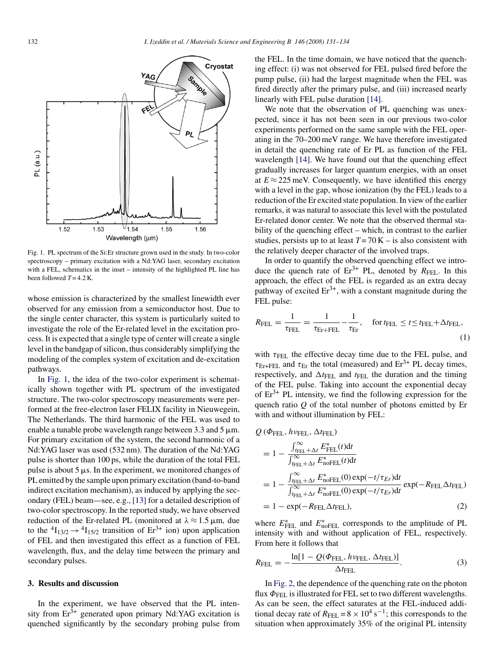

Fig. 1. PL spectrum of the Si:Er structure grown used in the study. In two-color spectroscopy – primary excitation with a Nd:YAG laser, secondary excitation with a FEL, schematics in the inset – intensity of the highlighted PL line has been followed  $T = 4.2$  K.

whose emission is characterized by the smallest linewidth ever observed for any emission from a semiconductor host. Due to the single center character, this system is particularly suited to investigate the role of the Er-related level in the excitation process. It is expected that a single type of center will create a single level in the bandgap of silicon, thus considerably simplifying the modeling of the complex system of excitation and de-excitation pathways.

In Fig. 1, the idea of the two-color experiment is schematically shown together with PL spectrum of the investigated structure. The two-color spectroscopy measurements were performed at the free-electron laser FELIX facility in Nieuwegein, The Netherlands. The third harmonic of the FEL was used to enable a tunable probe wavelength range between 3.3 and 5  $\mu$ m. For primary excitation of the system, the second harmonic of a Nd:YAG laser was used (532 nm). The duration of the Nd:YAG pulse is shorter than 100 ps, while the duration of the total FEL pulse is about  $5 \mu s$ . In the experiment, we monitored changes of PL emitted by the sample upon primary excitation (band-to-band indirect excitation mechanism), as induced by applying the secondary (FEL) beam—see, e.g., [\[13\]](#page-3-0) for a detailed description of two-color spectroscopy. In the reported study, we have observed reduction of the Er-related PL (monitored at  $\lambda \approx 1.5 \,\mu$ m, due to the  ${}^{4}I_{13/2} \rightarrow {}^{4}I_{15/2}$  transition of Er<sup>3+</sup> ion) upon application of FEL and then investigated this effect as a function of FEL wavelength, flux, and the delay time between the primary and secondary pulses.

#### **3. Results and discussion**

In the experiment, we have observed that the PL intensity from  $Er<sup>3+</sup>$  generated upon primary Nd:YAG excitation is quenched significantly by the secondary probing pulse from the FEL. In the time domain, we have noticed that the quenching effect: (i) was not observed for FEL pulsed fired before the pump pulse, (ii) had the largest magnitude when the FEL was fired directly after the primary pulse, and (iii) increased nearly linearly with FEL pulse duration [\[14\].](#page-3-0)

We note that the observation of PL quenching was unexpected, since it has not been seen in our previous two-color experiments performed on the same sample with the FEL operating in the 70–200 meV range. We have therefore investigated in detail the quenching rate of Er PL as function of the FEL wavelength [\[14\].](#page-3-0) We have found out that the quenching effect gradually increases for larger quantum energies, with an onset at  $E \approx 225$  meV. Consequently, we have identified this energy with a level in the gap, whose ionization (by the FEL) leads to a reduction of the Er excited state population. In view of the earlier remarks, it was natural to associate this level with the postulated Er-related donor center. We note that the observed thermal stability of the quenching effect – which, in contrast to the earlier studies, persists up to at least  $T = 70$  K – is also consistent with the relatively deeper character of the involved traps.

In order to quantify the observed quenching effect we introduce the quench rate of  $Er^{3+}$  PL, denoted by  $R_{FEL}$ . In this approach, the effect of the FEL is regarded as an extra decay pathway of excited  $Er^{3+}$ , with a constant magnitude during the FEL pulse:

$$
R_{\text{FEL}} = \frac{1}{\tau_{\text{FEL}}} = \frac{1}{\tau_{\text{Er}} + \text{FEL}} - \frac{1}{\tau_{\text{Er}}}, \quad \text{for } t_{\text{FEL}} \le t \le t_{\text{FEL}} + \Delta t_{\text{FEL}},
$$
\n(1)

with  $\tau_{\text{FEL}}$  the effective decay time due to the FEL pulse, and  $\tau_{\text{Er+FEL}}$  and  $\tau_{\text{Er}}$  the total (measured) and  $\text{Er}^{3+}$  PL decay times, respectively, and  $\Delta t_{\text{FEL}}$  and  $t_{\text{FEL}}$  the duration and the timing of the FEL pulse. Taking into account the exponential decay of  $Er^{3+}$  PL intensity, we find the following expression for the quench ratio *Q* of the total number of photons emitted by Er with and without illumination by FEL:

$$
Q (\Phi_{\text{FEL}}, h_{V\text{FEL}}, \Delta t_{\text{FEL}})
$$
  
=  $1 - \frac{\int_{t_{\text{FEL}} + \Delta t}^{\infty} E_{\text{FEL}}^{*}(t) dt}{\int_{t_{\text{FEL}} + \Delta t}^{\infty} E_{\text{noFEL}}^{*}(t) dt}$   
=  $1 - \frac{\int_{t_{\text{FEL}} + \Delta t}^{\infty} E_{\text{noFEL}}^{*}(0) \exp(-t/\tau_{Er}) dt}{\int_{t_{\text{FEL}} + \Delta t}^{\infty} E_{\text{noFEL}}^{*}(0) \exp(-t/\tau_{Er}) dt} \exp(-R_{\text{FEL}} \Delta t_{\text{FEL}})$   
=  $1 - \exp(-R_{\text{FEL}} \Delta t_{\text{FEL}}),$  (2)

where  $E_{\text{FEL}}^*$  and  $E_{\text{noFEL}}^*$  corresponds to the amplitude of PL intensity with and without application of FEL, respectively. From here it follows that

$$
R_{\text{FEL}} = -\frac{\ln[1 - Q(\Phi_{\text{FEL}}, h\nu_{\text{FEL}}, \Delta t_{\text{FEL}})]}{\Delta t_{\text{FEL}}}.
$$
\n(3)

In [Fig. 2, t](#page-2-0)he dependence of the quenching rate on the photon flux  $\Phi$ <sub>FEL</sub> is illustrated for FEL set to two different wavelengths. As can be seen, the effect saturates at the FEL-induced additional decay rate of  $R_{\text{FEL}} = 8 \times 10^4 \text{ s}^{-1}$ ; this corresponds to the situation when approximately 35% of the original PL intensity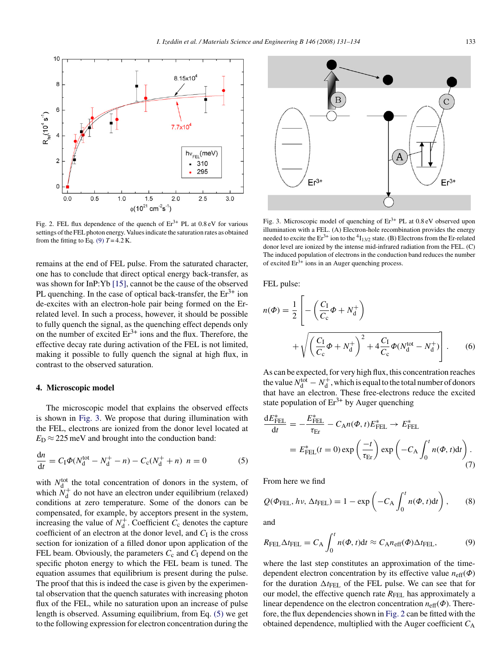<span id="page-2-0"></span>

Fig. 2. FEL flux dependence of the quench of  $Er^{3+}$  PL at 0.8 eV for various settings of the FEL photon energy. Values indicate the saturation rates as obtained from the fitting to Eq. (9)  $T = 4.2$  K.

remains at the end of FEL pulse. From the saturated character, one has to conclude that direct optical energy back-transfer, as was shown for InP:Yb [\[15\],](#page-3-0) cannot be the cause of the observed PL quenching. In the case of optical back-transfer, the  $Er<sup>3+</sup>$  ion de-excites with an electron-hole pair being formed on the Errelated level. In such a process, however, it should be possible to fully quench the signal, as the quenching effect depends only on the number of excited  $Er^{3+}$  ions and the flux. Therefore, the effective decay rate during activation of the FEL is not limited, making it possible to fully quench the signal at high flux, in contrast to the observed saturation.

## **4. Microscopic model**

The microscopic model that explains the observed effects is shown in Fig. 3. We propose that during illumination with the FEL, electrons are ionized from the donor level located at  $E_D \approx 225$  meV and brought into the conduction band:

$$
\frac{dn}{dt} = C_1 \Phi(N_d^{\text{tot}} - N_d^+ - n) - C_c(N_d^+ + n) \ n = 0 \tag{5}
$$

with  $N<sub>d</sub><sup>tot</sup>$  the total concentration of donors in the system, of which  $N_d^+$  do not have an electron under equilibrium (relaxed) conditions at zero temperature. Some of the donors can be compensated, for example, by acceptors present in the system, increasing the value of  $N_d^+$ . Coefficient  $C_c$  denotes the capture coefficient of an electron at the donor level, and  $C<sub>I</sub>$  is the cross section for ionization of a filled donor upon application of the FEL beam. Obviously, the parameters  $C_c$  and  $C<sub>I</sub>$  depend on the specific photon energy to which the FEL beam is tuned. The equation assumes that equilibrium is present during the pulse. The proof that this is indeed the case is given by the experimental observation that the quench saturates with increasing photon flux of the FEL, while no saturation upon an increase of pulse length is observed. Assuming equilibrium, from Eq. (5) we get to the following expression for electron concentration during the



Fig. 3. Microscopic model of quenching of  $Er<sup>3+</sup> PL$  at 0.8 eV observed upon illumination with a FEL. (A) Electron-hole recombination provides the energy needed to excite the  $Er^{3+}$  ion to the  ${}^{4}I_{13/2}$  state. (B) Electrons from the Er-related donor level are ionized by the intense mid-infrared radiation from the FEL. (C) The induced population of electrons in the conduction band reduces the number of excited  $Er<sup>3+</sup>$  ions in an Auger quenching process.

FEL pulse:

$$
n(\Phi) = \frac{1}{2} \left[ -\left(\frac{C_{I}}{C_{c}}\Phi + N_{d}^{+}\right) + \sqrt{\left(\frac{C_{I}}{C_{c}}\Phi + N_{d}^{+}\right)^{2} + 4\frac{C_{I}}{C_{c}}\Phi(N_{d}^{\text{tot}} - N_{d}^{+})} \right].
$$
 (6)

As can be expected, for very high flux, this concentration reaches the value  $N_{\rm d}^{\rm tot} - N_{\rm d}^+$ , which is equal to the total number of donors that have an electron. These free-electrons reduce the excited state population of  $Er^{3+}$  by Auger quenching

$$
\frac{dE_{\text{FEL}}^{*}}{dt} = -\frac{E_{\text{FEL}}^{*}}{\tau_{\text{Er}}} - C_{\text{A}}n(\Phi, t)E_{\text{FEL}}^{*} \to E_{\text{FEL}}^{*}
$$
\n
$$
= E_{\text{FEL}}^{*}(t=0) \exp\left(\frac{-t}{\tau_{\text{Er}}}\right) \exp\left(-C_{\text{A}} \int_{0}^{t} n(\Phi, t) dt\right). \tag{7}
$$

From here we find

$$
Q(\Phi_{\text{FEL}}, h\nu, \Delta t_{\text{FEL}}) = 1 - \exp\left(-C_{\text{A}} \int_0^t n(\Phi, t) dt\right), \qquad (8)
$$

and

$$
R_{\text{FEL}}\Delta t_{\text{FEL}} = C_{\text{A}} \int_0^t n(\Phi, t) \mathrm{d}t \approx C_{\text{A}} n_{\text{eff}}(\Phi) \Delta t_{\text{FEL}}, \tag{9}
$$

where the last step constitutes an approximation of the timedependent electron concentration by its effective value *n*eff(Φ) for the duration  $\Delta t$ <sub>FEL</sub> of the FEL pulse. We can see that for our model, the effective quench rate *R*<sub>FEL</sub> has approximately a linear dependence on the electron concentration  $n_{\text{eff}}(\Phi)$ . Therefore, the flux dependencies shown in Fig. 2 can be fitted with the obtained dependence, multiplied with the Auger coefficient  $C_A$